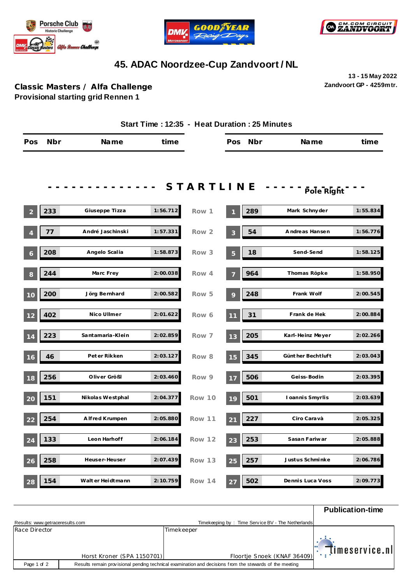





## **45. ADAC Noordzee-Cup Zandvoort / NL**

**13 - 15 May 2022 Zandvoort GP - 4259mtr.**

## **Classic Masters / Alfa Challenge Provisional starting grid Rennen 1**

|                |     |                    |          | Start Time: 12:35 - Heat Duration: 25 Minutes |     |     |                    |          |
|----------------|-----|--------------------|----------|-----------------------------------------------|-----|-----|--------------------|----------|
| Pos            | Nbr | Name               | time     |                                               | Pos | Nbr | Name               | time     |
|                |     |                    |          |                                               |     |     |                    |          |
|                |     |                    |          | STARTLINE                                     |     |     | Pole Right         |          |
| $\overline{2}$ | 233 | Giuseppe Tizza     | 1:56.712 | Row 1                                         |     | 289 | Mark Schnyder      | 1:55.834 |
|                | 77  | André Jaschinski   | 1:57.331 | Row 2                                         | 3   | 54  | Andreas Hansen     | 1:56.776 |
| 6              | 208 | Angelo Scalia      | 1:58.873 | Row 3                                         | 5   | 18  | Send-Send          | 1:58.125 |
| 8              | 244 | Marc Frey          | 2:00.038 | Row 4                                         |     | 964 | Thomas Röpke       | 1:58.950 |
| 10             | 200 | Jörg Bernhard      | 2:00.582 | Row 5                                         | 9   | 248 | Frank Wolf         | 2:00.545 |
| 12             | 402 | Nico Ullmer        | 2:01.622 | Row 6                                         | 11  | 31  | Frank de Hek       | 2:00.884 |
| 14             | 223 | Santamaria-Klein   | 2:02.859 | Row 7                                         | 13  | 205 | Karl-Heinz Meyer   | 2:02.266 |
| 16             | 46  | Pet er Rikken      | 2:03.127 | Row 8                                         | 15  | 345 | Günt her Bechtluft | 2:03.043 |
| 18             | 256 | Oliver Größl       | 2:03.460 | Row 9                                         | 17  | 506 | Geiss-Bodin        | 2:03.395 |
| 20             | 151 | Nikolas Westphal   | 2:04.377 | Row 10                                        | 19  | 501 | I oannis Smyrlis   | 2:03.639 |
| 22             | 254 | A Ifred Krumpen    | 2:05.880 | Row 11                                        | 21  | 227 | Ciro Caravà        | 2:05.325 |
| 24             | 133 | Leon Harhoff       | 2:06.184 | Row 12                                        | 23  | 253 | Sasan Fariwar      | 2:05.888 |
| 26             | 258 | Heuser-Heuser      | 2:07.439 | Row 13                                        | 25  | 257 | Justus Schminke    | 2:06.786 |
| 28             | 154 | Walt er Heidt mann | 2:10.759 | <b>Row 14</b>                                 | 27  | 502 | Dennis Luca Voss   | 2:09.773 |

|                                 |                            |                                                                                                         | <b>Publication-time</b>                |
|---------------------------------|----------------------------|---------------------------------------------------------------------------------------------------------|----------------------------------------|
| Results: www.getraceresults.com |                            | Timekeeping by: Time Service BV - The Netherlands                                                       |                                        |
| Race Director                   |                            | Timekeeper                                                                                              |                                        |
|                                 | Horst Kroner (SPA 1150701) | Floortje Snoek (KNAF 36409)                                                                             | $\mathbb{E}[\mathbb{I}]$ imeservice.nl |
| Page 1 of 2                     |                            | Results remain provisional pending technical examination and decisions from the stewards of the meeting |                                        |